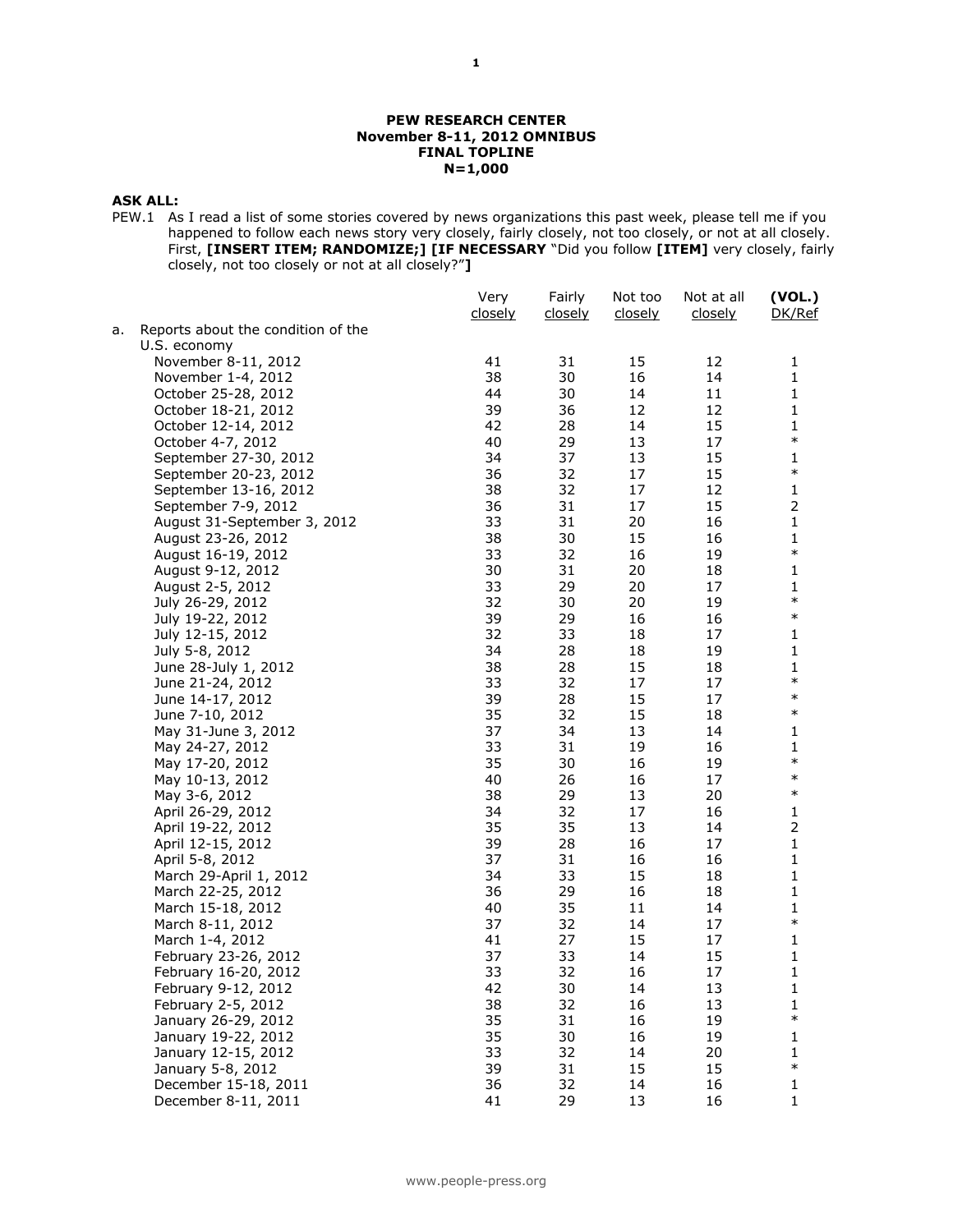#### **PEW RESEARCH CENTER November 8-11, 2012 OMNIBUS FINAL TOPLINE N=1,000**

## **ASK ALL:**

PEW.1 As I read a list of some stories covered by news organizations this past week, please tell me if you happened to follow each news story very closely, fairly closely, not too closely, or not at all closely. First, **[INSERT ITEM; RANDOMIZE;] [IF NECESSARY** "Did you follow **[ITEM]** very closely, fairly closely, not too closely or not at all closely?"**]**

|    |                                    | Very<br>closely | Fairly<br>closely | Not too<br>closely | Not at all<br><u>closely</u> | (VOL.)<br>DK/Ref |
|----|------------------------------------|-----------------|-------------------|--------------------|------------------------------|------------------|
| а. | Reports about the condition of the |                 |                   |                    |                              |                  |
|    | U.S. economy                       |                 |                   |                    |                              |                  |
|    | November 8-11, 2012                | 41              | 31                | 15                 | 12                           | 1                |
|    | November 1-4, 2012                 | 38              | 30                | 16                 | 14                           | 1                |
|    | October 25-28, 2012                | 44              | 30                | 14                 | 11                           | 1                |
|    | October 18-21, 2012                | 39              | 36                | 12                 | 12                           | $\mathbf 1$      |
|    | October 12-14, 2012                | 42              | 28                | 14                 | 15                           | 1                |
|    | October 4-7, 2012                  | 40              | 29                | 13                 | 17                           | $\ast$           |
|    | September 27-30, 2012              | 34              | 37                | 13                 | 15                           | 1                |
|    | September 20-23, 2012              | 36              | 32                | 17                 | 15                           | $\ast$           |
|    | September 13-16, 2012              | 38              | 32                | 17                 | 12                           | 1                |
|    | September 7-9, 2012                | 36              | 31                | 17                 | 15                           | $\overline{2}$   |
|    | August 31-September 3, 2012        | 33              | 31                | 20                 | 16                           | $\mathbf 1$      |
|    | August 23-26, 2012                 | 38              | 30                | 15                 | 16                           | 1                |
|    | August 16-19, 2012                 | 33              | 32                | 16                 | 19                           | $\ast$           |
|    | August 9-12, 2012                  | 30              | 31                | 20                 | 18                           | 1                |
|    | August 2-5, 2012                   | 33              | 29                | 20                 | 17                           | 1                |
|    | July 26-29, 2012                   | 32              | 30                | 20                 | 19                           | $\ast$           |
|    | July 19-22, 2012                   | 39              | 29                | 16                 | 16                           | $\ast$           |
|    | July 12-15, 2012                   | 32              | 33                | 18                 | 17                           | 1                |
|    | July 5-8, 2012                     | 34              | 28                | 18                 | 19                           | 1                |
|    | June 28-July 1, 2012               | 38              | 28                | 15                 | 18                           | 1                |
|    | June 21-24, 2012                   | 33              | 32                | 17                 | 17                           | $\ast$           |
|    | June 14-17, 2012                   | 39              | 28                | 15                 | 17                           | $\ast$           |
|    | June 7-10, 2012                    | 35              | 32                | 15                 | 18                           | $\ast$           |
|    | May 31-June 3, 2012                | 37              | 34                | 13                 | 14                           | 1                |
|    | May 24-27, 2012                    | 33              | 31                | 19                 | 16                           | 1                |
|    | May 17-20, 2012                    | 35              | 30                | 16                 | 19                           | $\ast$           |
|    | May 10-13, 2012                    | 40              | 26                | 16                 | 17                           | $\ast$           |
|    | May 3-6, 2012                      | 38              | 29                | 13                 | 20                           | $\ast$           |
|    | April 26-29, 2012                  | 34              | 32                | 17                 | 16                           | 1                |
|    | April 19-22, 2012                  | 35              | 35                | 13                 | 14                           | $\mathbf 2$      |
|    | April 12-15, 2012                  | 39              | 28                | 16                 | 17                           | 1                |
|    | April 5-8, 2012                    | 37              | 31                | 16                 | 16                           | 1                |
|    | March 29-April 1, 2012             | 34              | 33                | 15                 | 18                           | 1                |
|    | March 22-25, 2012                  | 36              | 29                | 16                 | 18                           | 1                |
|    | March 15-18, 2012                  | 40              | 35                | 11                 | 14                           | $\mathbf{1}$     |
|    | March 8-11, 2012                   | 37              | 32                | 14                 | 17                           | $\ast$           |
|    | March 1-4, 2012                    | 41              | 27                | 15                 | 17                           | 1                |
|    | February 23-26, 2012               | 37              | 33                | 14                 | 15                           | 1                |
|    | February 16-20, 2012               | 33              | 32                | 16                 | 17                           | 1                |
|    | February 9-12, 2012                | 42              | 30                | 14                 | 13                           | $\mathbf 1$      |
|    | February 2-5, 2012                 | 38              | 32                | 16                 | 13                           | 1                |
|    | January 26-29, 2012                | 35              | 31                | 16                 | 19                           | $\ast$           |
|    | January 19-22, 2012                | 35              | 30                | 16                 | 19                           | 1                |
|    | January 12-15, 2012                | 33              | 32                | 14                 | 20                           | 1                |
|    | January 5-8, 2012                  | 39              | 31                | 15                 | 15                           | $\ast$           |
|    | December 15-18, 2011               | 36              | 32                | 14                 | 16                           | 1                |
|    | December 8-11, 2011                | 41              | 29                | 13                 | 16                           | 1                |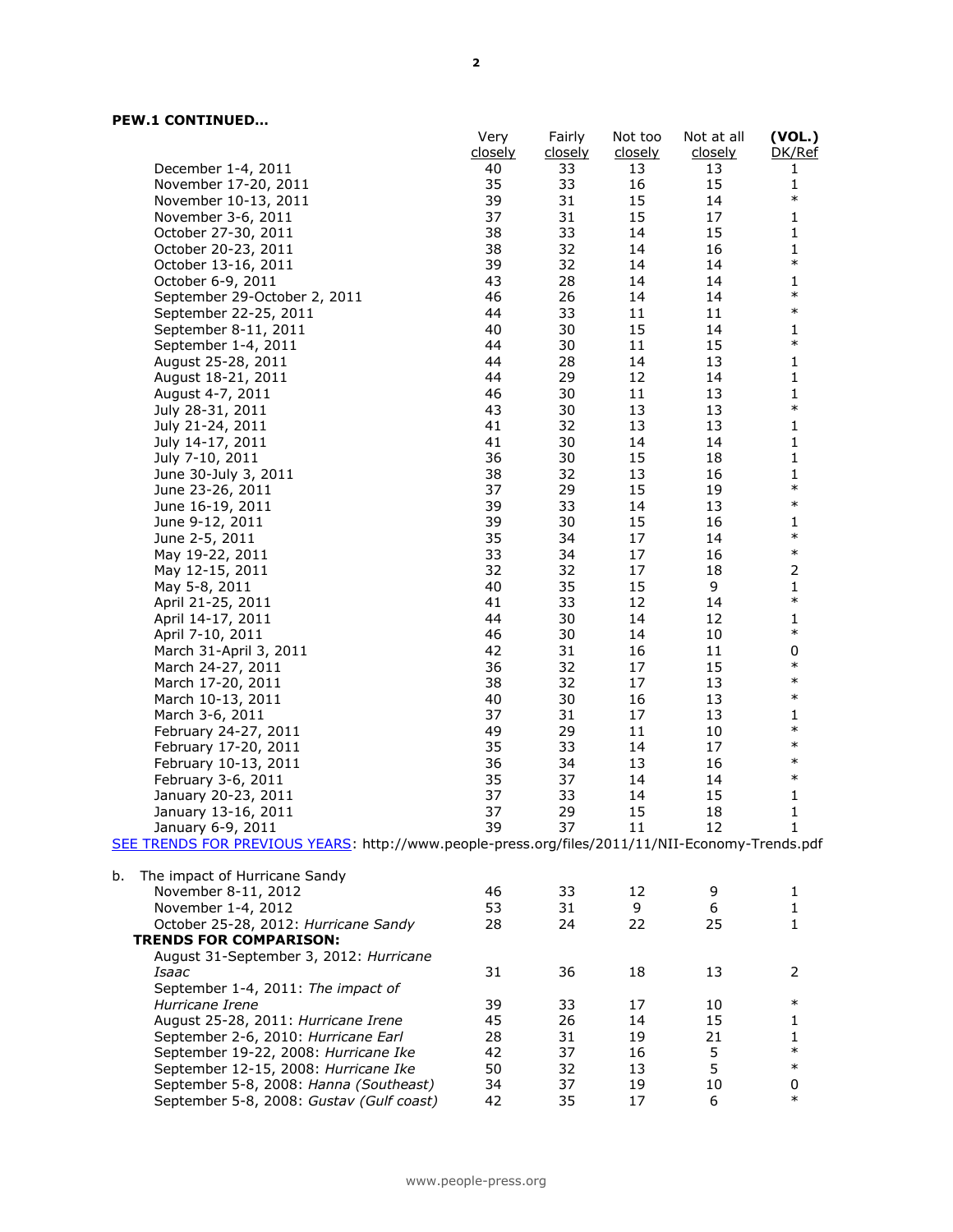|                                                                                                 | Very<br>closely | Fairly               | Not too       | Not at all    | (VOL.)<br>DK/Ref |
|-------------------------------------------------------------------------------------------------|-----------------|----------------------|---------------|---------------|------------------|
| December 1-4, 2011                                                                              | 40              | <u>closely</u><br>33 | closely<br>13 | closely<br>13 | $\mathbf{1}$     |
| November 17-20, 2011                                                                            | 35              | 33                   | 16            | 15            | $\mathbf{1}$     |
| November 10-13, 2011                                                                            | 39              | 31                   | 15            | 14            | $\ast$           |
| November 3-6, 2011                                                                              | 37              | 31                   | 15            | 17            | $\mathbf 1$      |
| October 27-30, 2011                                                                             | 38              | 33                   | 14            | 15            | $\mathbf{1}$     |
| October 20-23, 2011                                                                             | 38              | 32                   | 14            | 16            | 1                |
|                                                                                                 | 39              | 32                   | 14            | 14            | $\ast$           |
| October 13-16, 2011                                                                             | 43              | 28                   | 14            | 14            | $\mathbf 1$      |
| October 6-9, 2011<br>September 29-October 2, 2011                                               | 46              | 26                   | 14            | 14            | $\ast$           |
| September 22-25, 2011                                                                           | 44              | 33                   | 11            | 11            | $\ast$           |
| September 8-11, 2011                                                                            | 40              | 30                   | 15            | 14            | $\mathbf 1$      |
| September 1-4, 2011                                                                             | 44              | 30                   | 11            | 15            | $\ast$           |
| August 25-28, 2011                                                                              | 44              | 28                   | 14            | 13            | $\mathbf{1}$     |
| August 18-21, 2011                                                                              | 44              | 29                   | 12            | 14            | 1                |
| August 4-7, 2011                                                                                | 46              | 30                   | 11            | 13            | $\mathbf{1}$     |
| July 28-31, 2011                                                                                | 43              | 30                   | 13            | 13            | $\ast$           |
| July 21-24, 2011                                                                                | 41              | 32                   | 13            | 13            | $\mathbf 1$      |
| July 14-17, 2011                                                                                | 41              | 30                   | 14            | 14            | $\mathbf 1$      |
| July 7-10, 2011                                                                                 | 36              | 30                   | 15            | 18            | $\mathbf 1$      |
| June 30-July 3, 2011                                                                            | 38              | 32                   | 13            | 16            | 1                |
| June 23-26, 2011                                                                                | 37              | 29                   | 15            | 19            | $\ast$           |
| June 16-19, 2011                                                                                | 39              | 33                   | 14            | 13            | $\ast$           |
| June 9-12, 2011                                                                                 | 39              | 30                   | 15            | 16            | $\mathbf 1$      |
| June 2-5, 2011                                                                                  | 35              | 34                   | 17            | 14            | $\ast$           |
| May 19-22, 2011                                                                                 | 33              | 34                   | 17            | 16            | $\ast$           |
| May 12-15, 2011                                                                                 | 32              | 32                   | 17            | 18            | $\mathsf{2}\,$   |
| May 5-8, 2011                                                                                   | 40              | 35                   | 15            | 9             | $\mathbf 1$      |
| April 21-25, 2011                                                                               | 41              | 33                   | 12            | 14            | $\ast$           |
| April 14-17, 2011                                                                               | 44              | 30                   | 14            | 12            | $\mathbf 1$      |
| April 7-10, 2011                                                                                | 46              | 30                   | 14            | 10            | $\ast$           |
| March 31-April 3, 2011                                                                          | 42              | 31                   | 16            | 11            | 0                |
| March 24-27, 2011                                                                               | 36              | 32                   | 17            | 15            | $\ast$           |
| March 17-20, 2011                                                                               | 38              | 32                   | 17            | 13            | $\ast$           |
| March 10-13, 2011                                                                               | 40              | 30                   | 16            | 13            | $\ast$           |
| March 3-6, 2011                                                                                 | 37              | 31                   | 17            | 13            | 1                |
| February 24-27, 2011                                                                            | 49              | 29                   | 11            | 10            | $\ast$           |
| February 17-20, 2011                                                                            | 35              | 33                   | 14            | 17            | $\ast$           |
| February 10-13, 2011                                                                            | 36              | 34                   | 13            | 16            | $\ast$           |
| February 3-6, 2011                                                                              | 35              | 37                   | 14            | 14            | $\ast$           |
| January 20-23, 2011                                                                             | 37              | 33                   | 14            | 15            | $\mathbf 1$      |
| January 13-16, 2011                                                                             | 37              | 29                   | 15            | 18            | $\mathbf 1$      |
| January 6-9, 2011                                                                               | 39              | 37                   | 11            | 12            | 1                |
| SEE TRENDS FOR PREVIOUS YEARS: http://www.people-press.org/files/2011/11/NII-Economy-Trends.pdf |                 |                      |               |               |                  |
|                                                                                                 |                 |                      |               |               |                  |
| The impact of Hurricane Sandy<br>b.                                                             |                 |                      |               |               |                  |
| November 8-11, 2012                                                                             | 46              | 33                   | 12            | 9             | 1                |
| November 1-4, 2012                                                                              | 53              | 31                   | 9             | 6             | 1                |
| October 25-28, 2012: Hurricane Sandy                                                            | 28              | 24                   | 22            | 25            | $\mathbf{1}$     |
| <b>TRENDS FOR COMPARISON:</b>                                                                   |                 |                      |               |               |                  |
| August 31-September 3, 2012: Hurricane                                                          |                 |                      |               |               |                  |
| Isaac                                                                                           | 31              | 36                   | 18            | 13            | 2                |
| September 1-4, 2011: The impact of                                                              |                 |                      |               |               |                  |
| Hurricane Irene                                                                                 | 39              | 33                   | 17            | 10            | $\ast$           |
| August 25-28, 2011: Hurricane Irene                                                             | 45              | 26                   | 14            | 15            | 1                |
| September 2-6, 2010: Hurricane Earl                                                             | 28              | 31                   | 19            | 21            | $\mathbf{1}$     |
| September 19-22, 2008: Hurricane Ike                                                            | 42              | 37                   | 16            | 5             | $\ast$           |
| September 12-15, 2008: Hurricane Ike                                                            | 50              | 32                   | 13            | 5             | $\ast$           |
| September 5-8, 2008: Hanna (Southeast)                                                          | 34              | 37                   | 19            | 10            | 0                |
| September 5-8, 2008: Gustav (Gulf coast)                                                        | 42              | 35                   | 17            | 6             | $\ast$           |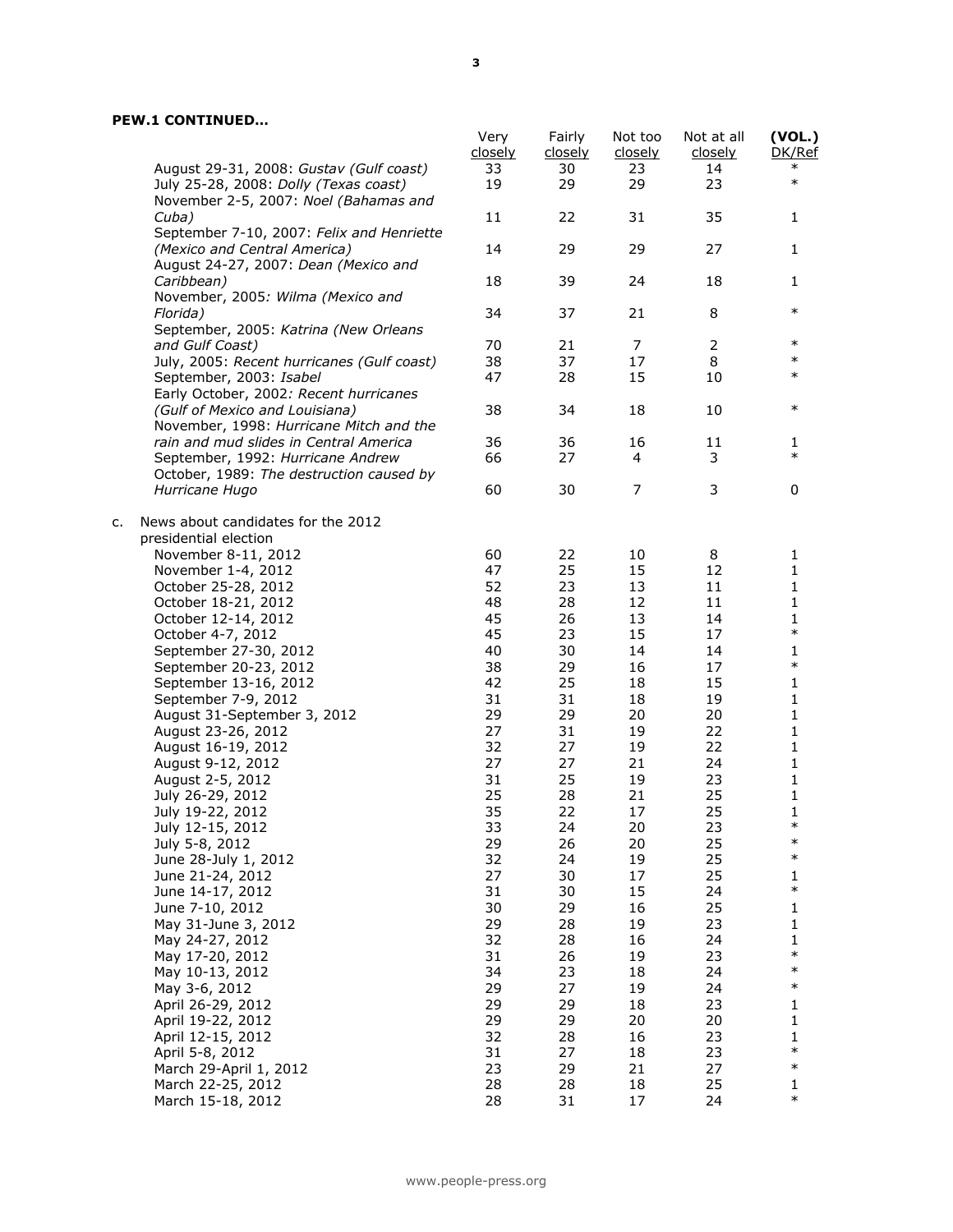|    |                                                                                | Very<br>closely | Fairly<br>closely | Not too<br>closely | Not at all<br>closely | (VOL.)<br>DK/Ref |
|----|--------------------------------------------------------------------------------|-----------------|-------------------|--------------------|-----------------------|------------------|
|    | August 29-31, 2008: Gustav (Gulf coast)                                        | 33              | 30                | 23                 | 14                    | $\ast$           |
|    | July 25-28, 2008: Dolly (Texas coast)<br>November 2-5, 2007: Noel (Bahamas and | 19              | 29                | 29                 | 23                    | $\ast$           |
|    | Cuba)<br>September 7-10, 2007: Felix and Henriette                             | 11              | 22                | 31                 | 35                    | $\mathbf{1}$     |
|    | (Mexico and Central America)<br>August 24-27, 2007: Dean (Mexico and           | 14              | 29                | 29                 | 27                    | 1                |
|    | Caribbean)<br>November, 2005: Wilma (Mexico and                                | 18              | 39                | 24                 | 18                    | $\mathbf{1}$     |
|    | Florida)<br>September, 2005: Katrina (New Orleans                              | 34              | 37                | 21                 | 8                     | $\ast$           |
|    | and Gulf Coast)                                                                | 70              | 21                | 7                  | $\overline{2}$        | $\ast$           |
|    | July, 2005: Recent hurricanes (Gulf coast)                                     | 38              | 37                | 17                 | 8                     | $\ast$           |
|    |                                                                                |                 |                   |                    |                       | $\ast$           |
|    | September, 2003: Isabel                                                        | 47              | 28                | 15                 | 10                    |                  |
|    | Early October, 2002: Recent hurricanes<br>(Gulf of Mexico and Louisiana)       | 38              | 34                | 18                 | 10                    | $\ast$           |
|    | November, 1998: Hurricane Mitch and the                                        |                 |                   |                    |                       |                  |
|    | rain and mud slides in Central America                                         | 36              | 36                | 16                 | 11                    | 1                |
|    | September, 1992: Hurricane Andrew                                              | 66              | 27                | $\overline{4}$     | 3                     | $\ast$           |
|    | October, 1989: The destruction caused by                                       |                 |                   |                    |                       |                  |
|    | Hurricane Hugo                                                                 | 60              | 30                | 7                  | 3                     | 0                |
| c. | News about candidates for the 2012<br>presidential election                    |                 |                   |                    |                       |                  |
|    | November 8-11, 2012                                                            | 60              | 22                | 10                 | 8                     | 1                |
|    |                                                                                | 47              | 25                | 15                 | 12                    | $\mathbf{1}$     |
|    | November 1-4, 2012                                                             |                 |                   |                    |                       |                  |
|    | October 25-28, 2012                                                            | 52              | 23                | 13                 | 11                    | 1                |
|    | October 18-21, 2012                                                            | 48              | 28                | 12                 | 11                    | $\mathbf{1}$     |
|    | October 12-14, 2012                                                            | 45              | 26                | 13                 | 14                    | $\mathbf 1$      |
|    | October 4-7, 2012                                                              | 45              | 23                | 15                 | 17                    | $\ast$           |
|    | September 27-30, 2012                                                          | 40              | 30                | 14                 | 14                    | $\mathbf{1}$     |
|    | September 20-23, 2012                                                          | 38              | 29                | 16                 | 17                    | $\ast$           |
|    | September 13-16, 2012                                                          | 42              | 25                | 18                 | 15                    | $\mathbf 1$      |
|    | September 7-9, 2012                                                            | 31              | 31                | 18                 | 19                    | 1                |
|    | August 31-September 3, 2012                                                    | 29              | 29                | 20                 | 20                    | $\mathbf{1}$     |
|    | August 23-26, 2012                                                             | 27              | 31                | 19                 | 22                    | $\mathbf 1$      |
|    | August 16-19, 2012                                                             | 32              | 27                | 19                 | 22                    | $\mathbf 1$      |
|    | August 9-12, 2012                                                              | 27              | 27                | 21                 | 24                    | $\mathbf 1$      |
|    | August 2-5, 2012                                                               | 31              | 25                | 19                 | 23                    | $\mathbf{1}$     |
|    | July 26-29, 2012                                                               | 25              | 28                | 21                 | 25                    | $\mathbf 1$      |
|    | July 19-22, 2012                                                               | 35              | 22                | 17                 | 25                    | 1                |
|    | July 12-15, 2012                                                               | 33              | 24                | 20                 | 23                    |                  |
|    | July 5-8, 2012                                                                 | 29              | 26                | 20                 | 25                    | $\ast$           |
|    | June 28-July 1, 2012                                                           | 32              | 24                | 19                 | 25                    | $\ast$           |
|    | June 21-24, 2012                                                               | 27              | 30                | 17                 | 25                    | 1                |
|    | June 14-17, 2012                                                               | 31              | 30                | 15                 | 24                    | $\ast$           |
|    | June 7-10, 2012                                                                | 30              | 29                | 16                 | 25                    | 1                |
|    | May 31-June 3, 2012                                                            | 29              | 28                | 19                 | 23                    | 1                |
|    | May 24-27, 2012                                                                | 32              | 28                | 16                 | 24                    | 1                |
|    |                                                                                |                 |                   |                    |                       | $\ast$           |
|    | May 17-20, 2012                                                                | 31              | 26                | 19                 | 23                    | $\ast$           |
|    | May 10-13, 2012                                                                | 34              | 23                | 18                 | 24                    |                  |
|    | May 3-6, 2012                                                                  | 29              | 27                | 19                 | 24                    | $\ast$           |
|    | April 26-29, 2012                                                              | 29              | 29                | 18                 | 23                    | 1                |
|    | April 19-22, 2012                                                              | 29              | 29                | 20                 | 20                    | 1                |
|    | April 12-15, 2012                                                              | 32              | 28                | 16                 | 23                    | 1                |
|    | April 5-8, 2012                                                                | 31              | 27                | 18                 | 23                    | $\ast$           |
|    | March 29-April 1, 2012                                                         | 23              | 29                | 21                 | 27                    | $\ast$           |
|    | March 22-25, 2012                                                              | 28              | 28                | 18                 | 25                    | 1                |
|    | March 15-18, 2012                                                              | 28              | 31                | 17                 | 24                    | $\ast$           |
|    |                                                                                |                 |                   |                    |                       |                  |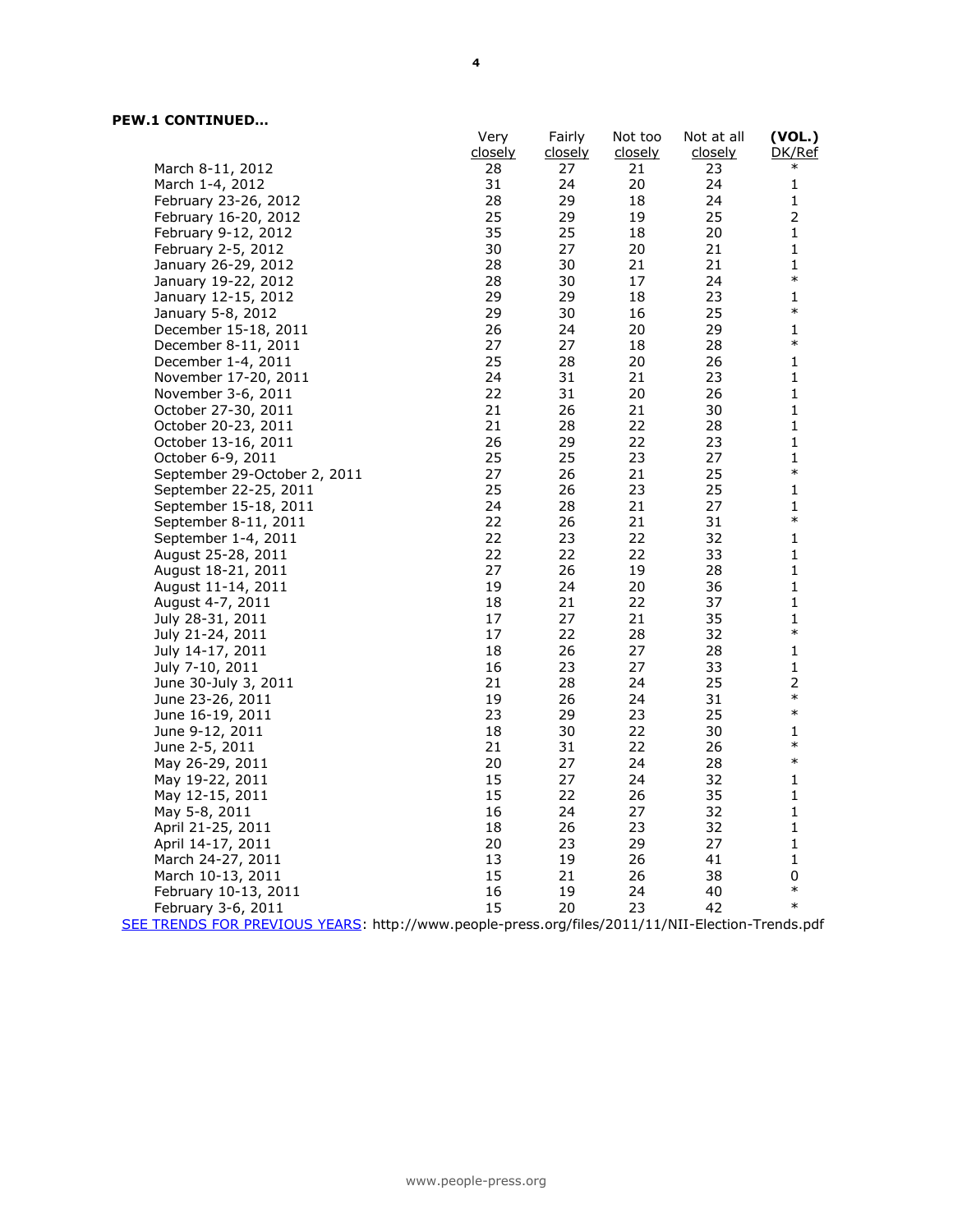|                                                                                                  | Very    | Fairly         | Not too        | Not at all     | (VOL.)         |
|--------------------------------------------------------------------------------------------------|---------|----------------|----------------|----------------|----------------|
|                                                                                                  | closely | <u>closely</u> | <u>closely</u> | <u>closely</u> | DK/Ref         |
| March 8-11, 2012                                                                                 | 28      | 27             | 21             | 23             | $\ast$         |
| March 1-4, 2012                                                                                  | 31      | 24             | 20             | 24             | 1              |
| February 23-26, 2012                                                                             | 28      | 29             | 18             | 24             | 1              |
| February 16-20, 2012                                                                             | 25      | 29             | 19             | 25             | $\overline{2}$ |
| February 9-12, 2012                                                                              | 35      | 25             | 18             | 20             | 1              |
| February 2-5, 2012                                                                               | 30      | 27             | 20             | 21             | 1              |
| January 26-29, 2012                                                                              | 28      | 30             | 21             | 21             | $\mathbf 1$    |
| January 19-22, 2012                                                                              | 28      | 30             | 17             | 24             | $\ast$         |
| January 12-15, 2012                                                                              | 29      | 29             | 18             | 23             | 1              |
| January 5-8, 2012                                                                                | 29      | 30             | 16             | 25             | $\ast$         |
| December 15-18, 2011                                                                             | 26      | 24             | 20             | 29             | $\mathbf 1$    |
| December 8-11, 2011                                                                              | 27      | 27             | 18             | 28             | $\ast$         |
| December 1-4, 2011                                                                               | 25      | 28             | 20             | 26             | 1              |
| November 17-20, 2011                                                                             | 24      | 31             | 21             | 23             | $\mathbf 1$    |
| November 3-6, 2011                                                                               | 22      | 31             | 20             | 26             | $\mathbf 1$    |
| October 27-30, 2011                                                                              | 21      | 26             | 21             | 30             | 1              |
| October 20-23, 2011                                                                              | 21      | 28             | 22             | 28             | $\mathbf 1$    |
| October 13-16, 2011                                                                              | 26      | 29             | 22             | 23             | 1              |
| October 6-9, 2011                                                                                | 25      | 25             | 23             | 27             | $\mathbf{1}$   |
| September 29-October 2, 2011                                                                     | 27      | 26             | 21             | 25             | $\ast$         |
| September 22-25, 2011                                                                            | 25      | 26             | 23             | 25             | 1              |
| September 15-18, 2011                                                                            | 24      | 28             | 21             | 27             | $\mathbf 1$    |
| September 8-11, 2011                                                                             | 22      | 26             | 21             | 31             | $\ast$         |
| September 1-4, 2011                                                                              | 22      | 23             | 22             | 32             | $\mathbf 1$    |
| August 25-28, 2011                                                                               | 22      | 22             | 22             | 33             | $\mathbf 1$    |
| August 18-21, 2011                                                                               | 27      | 26             | 19             | 28             | 1              |
| August 11-14, 2011                                                                               | 19      | 24             | 20             | 36             | $\mathbf 1$    |
| August 4-7, 2011                                                                                 | 18      | 21             | 22             | 37             | 1              |
| July 28-31, 2011                                                                                 | 17      | 27             | 21             | 35             | 1              |
| July 21-24, 2011                                                                                 | 17      | 22             | 28             | 32             | $\ast$         |
| July 14-17, 2011                                                                                 | 18      | 26             | 27             | 28             | 1              |
| July 7-10, 2011                                                                                  | 16      | 23             | 27             | 33             | 1              |
|                                                                                                  | 21      | 28             | 24             | 25             | $\overline{2}$ |
| June 30-July 3, 2011                                                                             | 19      | 26             | 24             | 31             | $\ast$         |
| June 23-26, 2011                                                                                 | 23      | 29             | 23             | 25             | $\ast$         |
| June 16-19, 2011<br>June 9-12, 2011                                                              | 18      | 30             | 22             | 30             | 1              |
|                                                                                                  | 21      | 31             | 22             | 26             | $\ast$         |
| June 2-5, 2011                                                                                   | 20      | 27             | 24             | 28             | $\ast$         |
| May 26-29, 2011                                                                                  |         |                |                |                |                |
| May 19-22, 2011                                                                                  | 15      | 27             | 24             | 32             | $\mathbf 1$    |
| May 12-15, 2011                                                                                  | 15      | 22             | 26             | 35             | 1              |
| May 5-8, 2011                                                                                    | 16      | 24             | 27             | 32             | 1              |
| April 21-25, 2011                                                                                | 18      | 26             | 23             | 32             | 1              |
| April 14-17, 2011                                                                                | 20      | 23             | 29             | 27             | 1              |
| March 24-27, 2011                                                                                | 13      | 19             | 26             | 41             | 1              |
| March 10-13, 2011                                                                                | 15      | 21             | 26             | 38             | 0              |
| February 10-13, 2011                                                                             | 16      | 19             | 24             | 40             | $\ast$         |
| February 3-6, 2011                                                                               | 15      | 20             | 23             | 42             | $\ast$         |
| SEE TRENDS FOR PREVIOUS YEARS: http://www.people-press.org/files/2011/11/NII-Election-Trends.pdf |         |                |                |                |                |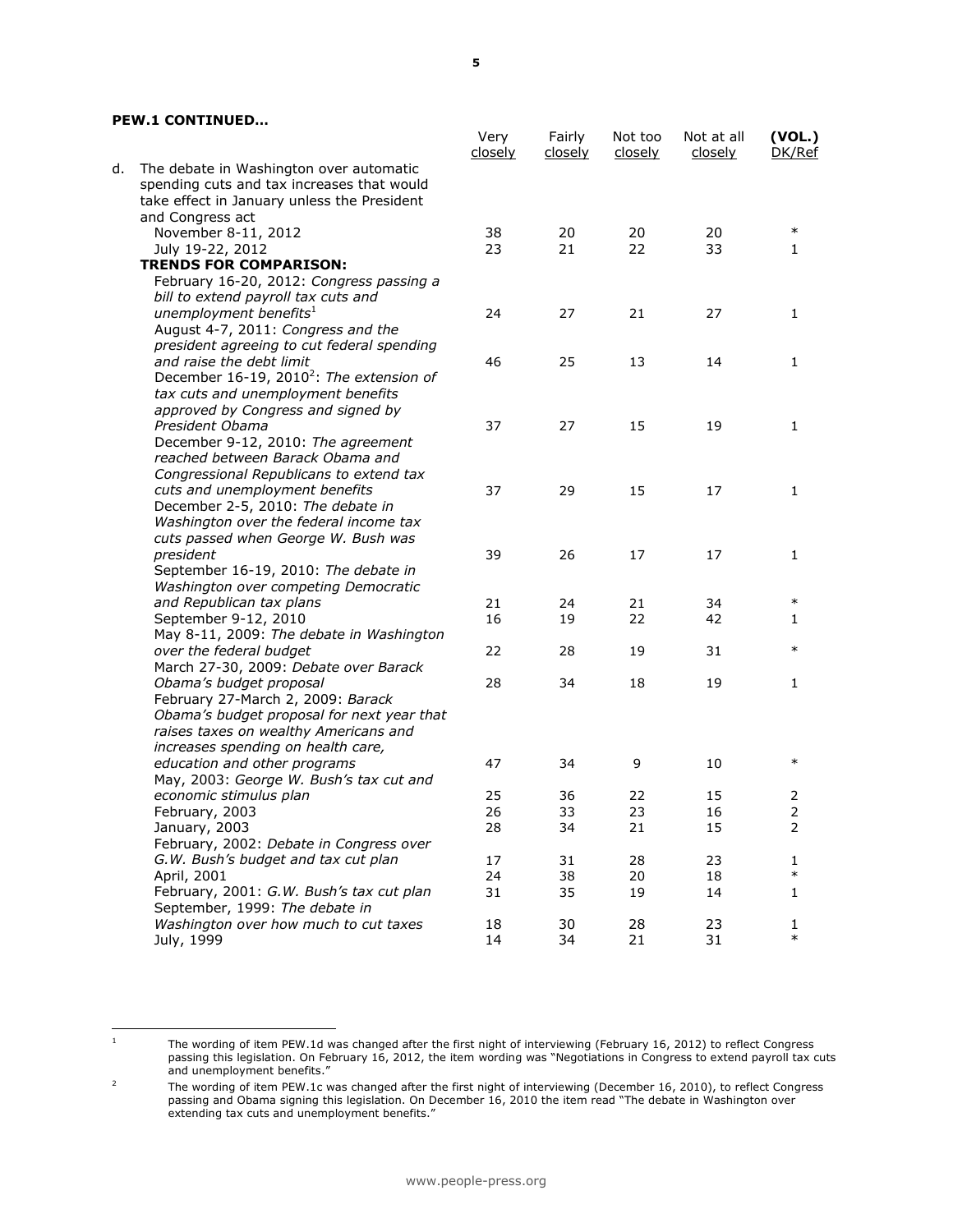|                                                                                              |                                                      | Very<br>closely | Fairly<br>closely | Not too<br>closely | Not at all<br><u>closely</u> | (VOL.)<br>DK/Ref    |
|----------------------------------------------------------------------------------------------|------------------------------------------------------|-----------------|-------------------|--------------------|------------------------------|---------------------|
| The debate in Washington over automatic<br>d.<br>take effect in January unless the President | spending cuts and tax increases that would           |                 |                   |                    |                              |                     |
| and Congress act                                                                             |                                                      |                 |                   |                    |                              |                     |
| November 8-11, 2012                                                                          |                                                      | 38              | 20                | 20                 | 20                           | $\ast$              |
| July 19-22, 2012                                                                             |                                                      | 23              | 21                | 22                 | 33                           | 1                   |
| <b>TRENDS FOR COMPARISON:</b>                                                                |                                                      |                 |                   |                    |                              |                     |
|                                                                                              | February 16-20, 2012: Congress passing a             |                 |                   |                    |                              |                     |
| bill to extend payroll tax cuts and                                                          |                                                      |                 |                   |                    |                              |                     |
| unemployment benefits <sup>1</sup>                                                           |                                                      | 24              | 27                | 21                 | 27                           | 1                   |
| August 4-7, 2011: Congress and the                                                           |                                                      |                 |                   |                    |                              |                     |
|                                                                                              | president agreeing to cut federal spending           |                 |                   |                    |                              |                     |
| and raise the debt limit                                                                     |                                                      | 46              | 25                | 13                 | 14                           | 1                   |
|                                                                                              | December 16-19, 2010 <sup>2</sup> : The extension of |                 |                   |                    |                              |                     |
| tax cuts and unemployment benefits                                                           |                                                      |                 |                   |                    |                              |                     |
| approved by Congress and signed by                                                           |                                                      |                 |                   |                    |                              |                     |
| President Obama                                                                              |                                                      | 37              | 27                | 15                 | 19                           | 1                   |
|                                                                                              | December 9-12, 2010: The agreement                   |                 |                   |                    |                              |                     |
| reached between Barack Obama and                                                             |                                                      |                 |                   |                    |                              |                     |
|                                                                                              | Congressional Republicans to extend tax              |                 |                   |                    |                              |                     |
| cuts and unemployment benefits<br>December 2-5, 2010: The debate in                          |                                                      | 37              | 29                | 15                 | 17                           | 1                   |
|                                                                                              | Washington over the federal income tax               |                 |                   |                    |                              |                     |
|                                                                                              | cuts passed when George W. Bush was                  |                 |                   |                    |                              |                     |
| president                                                                                    |                                                      | 39              | 26                | 17                 | 17                           | $\mathbf{1}$        |
|                                                                                              | September 16-19, 2010: The debate in                 |                 |                   |                    |                              |                     |
|                                                                                              | Washington over competing Democratic                 |                 |                   |                    |                              |                     |
| and Republican tax plans                                                                     |                                                      | 21              | 24                | 21                 | 34                           | $\ast$              |
| September 9-12, 2010                                                                         |                                                      | 16              | 19                | 22                 | 42                           | 1                   |
|                                                                                              | May 8-11, 2009: The debate in Washington             |                 |                   |                    |                              |                     |
| over the federal budget                                                                      |                                                      | 22              | 28                | 19                 | 31                           | $\ast$              |
|                                                                                              | March 27-30, 2009: Debate over Barack                |                 |                   |                    |                              |                     |
| Obama's budget proposal                                                                      |                                                      | 28              | 34                | 18                 | 19                           | 1                   |
| February 27-March 2, 2009: Barack                                                            |                                                      |                 |                   |                    |                              |                     |
|                                                                                              | Obama's budget proposal for next year that           |                 |                   |                    |                              |                     |
|                                                                                              | raises taxes on wealthy Americans and                |                 |                   |                    |                              |                     |
| increases spending on health care,                                                           |                                                      |                 |                   |                    |                              |                     |
| education and other programs                                                                 |                                                      | 47              | 34                | 9                  | 10                           | $\ast$              |
|                                                                                              | May, 2003: George W. Bush's tax cut and              |                 |                   |                    |                              |                     |
| economic stimulus plan                                                                       |                                                      | 25              | 36                | 22                 | 15                           | 2<br>$\overline{2}$ |
| February, 2003                                                                               |                                                      | 26              | 33                | 23                 | 16                           |                     |
| January, 2003                                                                                | February, 2002: Debate in Congress over              | 28              | 34                | 21                 | 15                           | 2                   |
| G.W. Bush's budget and tax cut plan                                                          |                                                      | 17              | 31                | 28                 | 23                           | 1                   |
| April, 2001                                                                                  |                                                      | 24              | 38                | 20                 | 18                           | $\ast$              |
|                                                                                              | February, 2001: G.W. Bush's tax cut plan             | 31              | 35                | 19                 | 14                           | 1                   |
| September, 1999: The debate in                                                               |                                                      |                 |                   |                    |                              |                     |
|                                                                                              | Washington over how much to cut taxes                | 18              | 30                | 28                 | 23                           | 1                   |
| July, 1999                                                                                   |                                                      | 14              | 34                | 21                 | 31                           | $\ast$              |

 $\mathbf{1}$ 

<sup>&</sup>lt;sup>1</sup> The wording of item PEW.1d was changed after the first night of interviewing (February 16, 2012) to reflect Congress passing this legislation. On February 16, 2012, the item wording was "Negotiations in Congress to extend payroll tax cuts and unemployment benefits."

<sup>&</sup>lt;sup>2</sup> The wording of item PEW.1c was changed after the first night of interviewing (December 16, 2010), to reflect Congress passing and Obama signing this legislation. On December 16, 2010 the item read "The debate in Washington over extending tax cuts and unemployment benefits."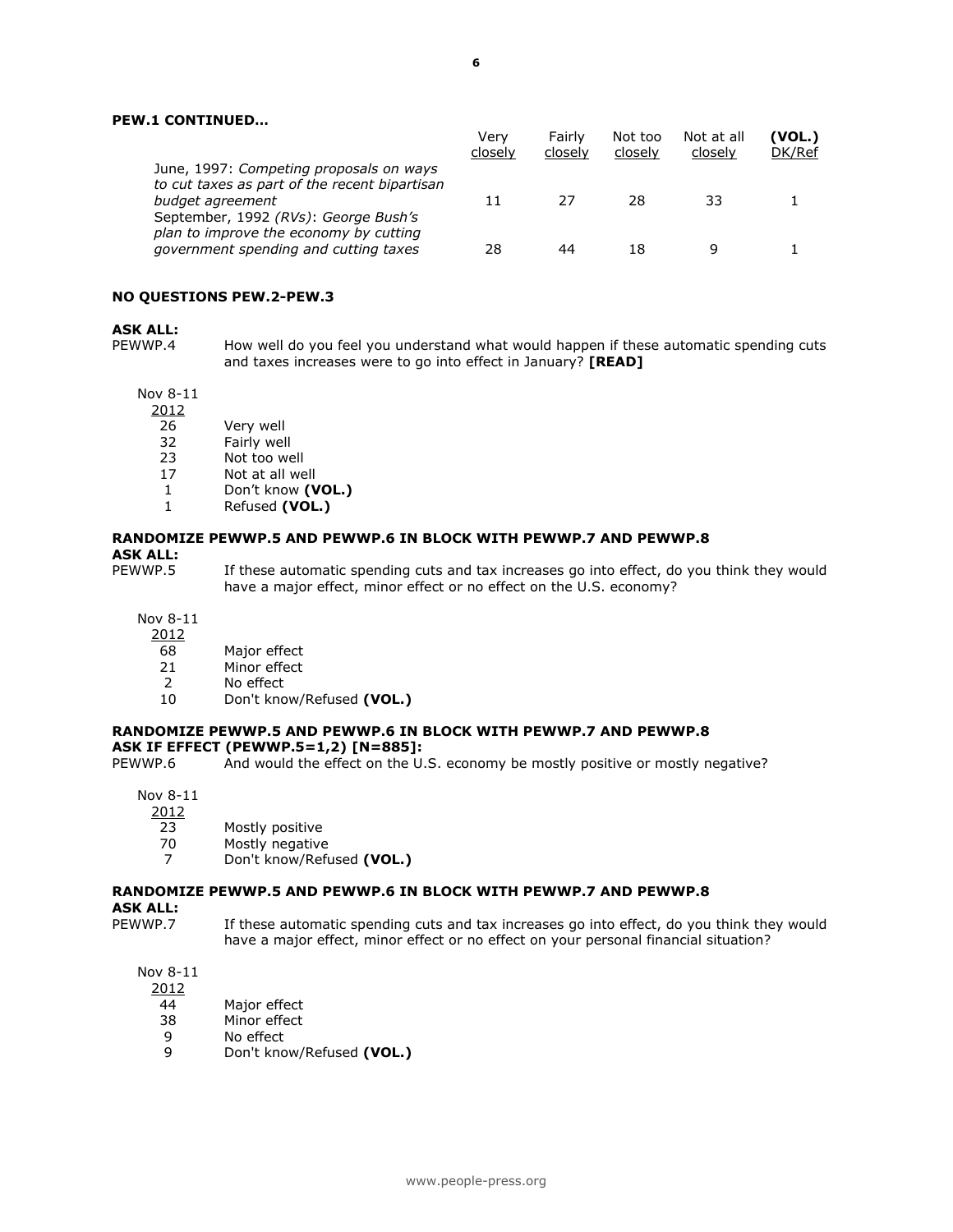|                                                                                          | Verv<br>closely | Fairly<br>closely | Not too<br>closely | Not at all<br>closely | (VOL.)<br>DK/Ref |
|------------------------------------------------------------------------------------------|-----------------|-------------------|--------------------|-----------------------|------------------|
| June, 1997: Competing proposals on ways<br>to cut taxes as part of the recent bipartisan |                 |                   |                    |                       |                  |
| budget agreement                                                                         | 11              | 27                | 28                 | 33                    |                  |
| September, 1992 (RVs): George Bush's<br>plan to improve the economy by cutting           |                 |                   |                    |                       |                  |
| government spending and cutting taxes                                                    | 28              | 44                | 18                 |                       |                  |

#### **NO QUESTIONS PEW.2-PEW.3**

#### **ASK ALL:**

PEWWP.4 How well do you feel you understand what would happen if these automatic spending cuts and taxes increases were to go into effect in January? **[READ]**

Nov 8-11

2012

- 26 Very well
- 
- 32 Fairly well<br>23 Not too we Not too well
- 17 Not at all well
- 1 Don't know **(VOL.)**
- 1 Refused **(VOL.)**

#### **RANDOMIZE PEWWP.5 AND PEWWP.6 IN BLOCK WITH PEWWP.7 AND PEWWP.8 ASK ALL:**

PEWWP.5 If these automatic spending cuts and tax increases go into effect, do you think they would have a major effect, minor effect or no effect on the U.S. economy?

Nov 8-11

- $\frac{2012}{68}$
- 68 Major effect<br>21 Minor effect
- Minor effect
- 2 No effect
- 10 Don't know/Refused **(VOL.)**

# **RANDOMIZE PEWWP.5 AND PEWWP.6 IN BLOCK WITH PEWWP.7 AND PEWWP.8**

**ASK IF EFFECT (PEWWP.5=1,2) [N=885]:** And would the effect on the U.S. economy be mostly positive or mostly negative?

Nov 8-11

- 2012
	- 23 Mostly positive
	- 70 Mostly negative
	- 7 Don't know/Refused **(VOL.)**

# **RANDOMIZE PEWWP.5 AND PEWWP.6 IN BLOCK WITH PEWWP.7 AND PEWWP.8**

**ASK ALL:**<br>PEWWP.7

If these automatic spending cuts and tax increases go into effect, do you think they would have a major effect, minor effect or no effect on your personal financial situation?

Nov 8-11

2012

- 
- 44 Major effect<br>38 Minor effect Minor effect
- 9 No effect
- 9 Don't know/Refused **(VOL.)**